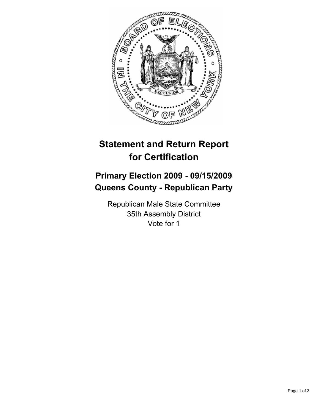

# **Statement and Return Report for Certification**

## **Primary Election 2009 - 09/15/2009 Queens County - Republican Party**

Republican Male State Committee 35th Assembly District Vote for 1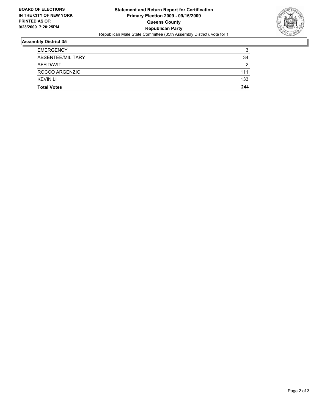

### **Assembly District 35**

| <b>Total Votes</b> | 244 |
|--------------------|-----|
| <b>KEVIN LI</b>    | 133 |
| ROCCO ARGENZIO     | 111 |
| AFFIDAVIT          | 2   |
| ABSENTEE/MILITARY  | 34  |
| <b>EMERGENCY</b>   | 3   |